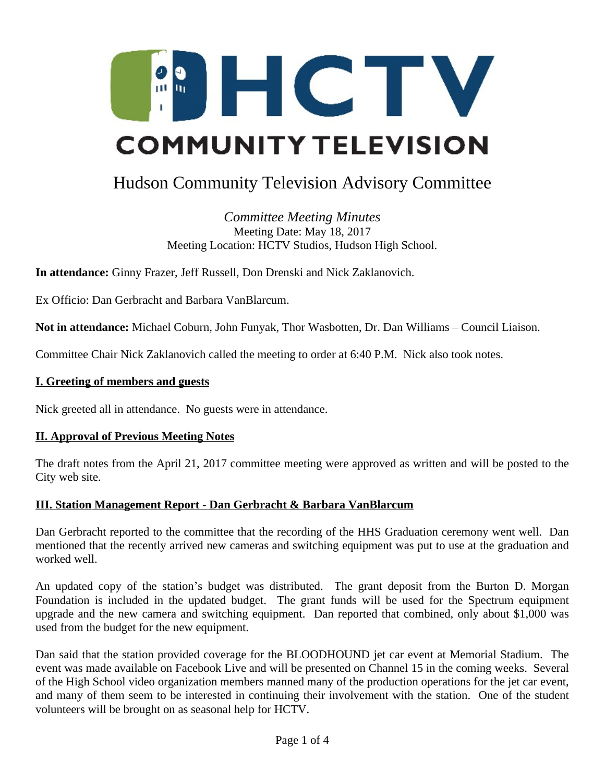

# Hudson Community Television Advisory Committee

*Committee Meeting Minutes* Meeting Date: May 18, 2017 Meeting Location: HCTV Studios, Hudson High School.

**In attendance:** Ginny Frazer, Jeff Russell, Don Drenski and Nick Zaklanovich.

Ex Officio: Dan Gerbracht and Barbara VanBlarcum.

**Not in attendance:** Michael Coburn, John Funyak, Thor Wasbotten, Dr. Dan Williams – Council Liaison.

Committee Chair Nick Zaklanovich called the meeting to order at 6:40 P.M. Nick also took notes.

#### **I. Greeting of members and guests**

Nick greeted all in attendance. No guests were in attendance.

#### **II. Approval of Previous Meeting Notes**

The draft notes from the April 21, 2017 committee meeting were approved as written and will be posted to the City web site.

#### **III. Station Management Report - Dan Gerbracht & Barbara VanBlarcum**

Dan Gerbracht reported to the committee that the recording of the HHS Graduation ceremony went well. Dan mentioned that the recently arrived new cameras and switching equipment was put to use at the graduation and worked well.

An updated copy of the station's budget was distributed. The grant deposit from the Burton D. Morgan Foundation is included in the updated budget. The grant funds will be used for the Spectrum equipment upgrade and the new camera and switching equipment. Dan reported that combined, only about \$1,000 was used from the budget for the new equipment.

Dan said that the station provided coverage for the BLOODHOUND jet car event at Memorial Stadium. The event was made available on Facebook Live and will be presented on Channel 15 in the coming weeks. Several of the High School video organization members manned many of the production operations for the jet car event, and many of them seem to be interested in continuing their involvement with the station. One of the student volunteers will be brought on as seasonal help for HCTV.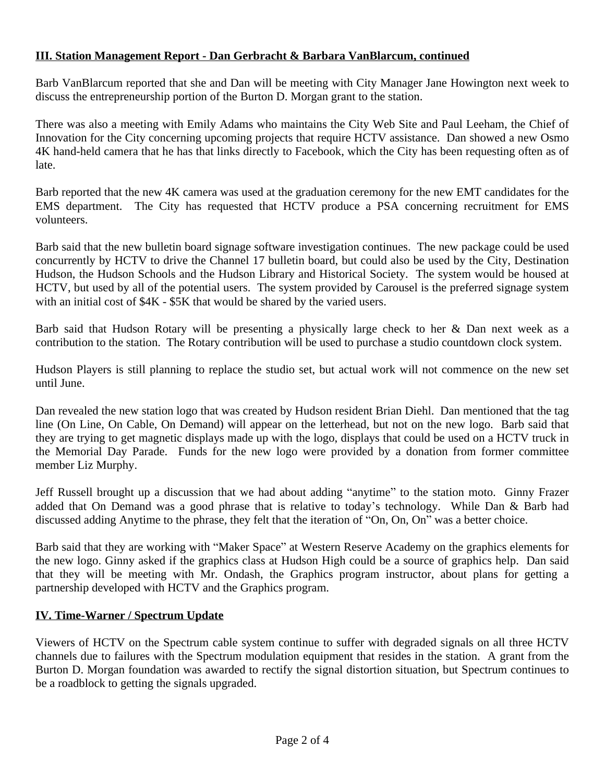## **III. Station Management Report - Dan Gerbracht & Barbara VanBlarcum, continued**

Barb VanBlarcum reported that she and Dan will be meeting with City Manager Jane Howington next week to discuss the entrepreneurship portion of the Burton D. Morgan grant to the station.

There was also a meeting with Emily Adams who maintains the City Web Site and Paul Leeham, the Chief of Innovation for the City concerning upcoming projects that require HCTV assistance. Dan showed a new Osmo 4K hand-held camera that he has that links directly to Facebook, which the City has been requesting often as of late.

Barb reported that the new 4K camera was used at the graduation ceremony for the new EMT candidates for the EMS department. The City has requested that HCTV produce a PSA concerning recruitment for EMS volunteers.

Barb said that the new bulletin board signage software investigation continues. The new package could be used concurrently by HCTV to drive the Channel 17 bulletin board, but could also be used by the City, Destination Hudson, the Hudson Schools and the Hudson Library and Historical Society. The system would be housed at HCTV, but used by all of the potential users. The system provided by Carousel is the preferred signage system with an initial cost of \$4K - \$5K that would be shared by the varied users.

Barb said that Hudson Rotary will be presenting a physically large check to her & Dan next week as a contribution to the station. The Rotary contribution will be used to purchase a studio countdown clock system.

Hudson Players is still planning to replace the studio set, but actual work will not commence on the new set until June.

Dan revealed the new station logo that was created by Hudson resident Brian Diehl. Dan mentioned that the tag line (On Line, On Cable, On Demand) will appear on the letterhead, but not on the new logo. Barb said that they are trying to get magnetic displays made up with the logo, displays that could be used on a HCTV truck in the Memorial Day Parade. Funds for the new logo were provided by a donation from former committee member Liz Murphy.

Jeff Russell brought up a discussion that we had about adding "anytime" to the station moto. Ginny Frazer added that On Demand was a good phrase that is relative to today's technology. While Dan & Barb had discussed adding Anytime to the phrase, they felt that the iteration of "On, On, On" was a better choice.

Barb said that they are working with "Maker Space" at Western Reserve Academy on the graphics elements for the new logo. Ginny asked if the graphics class at Hudson High could be a source of graphics help. Dan said that they will be meeting with Mr. Ondash, the Graphics program instructor, about plans for getting a partnership developed with HCTV and the Graphics program.

# **IV. Time-Warner / Spectrum Update**

Viewers of HCTV on the Spectrum cable system continue to suffer with degraded signals on all three HCTV channels due to failures with the Spectrum modulation equipment that resides in the station. A grant from the Burton D. Morgan foundation was awarded to rectify the signal distortion situation, but Spectrum continues to be a roadblock to getting the signals upgraded.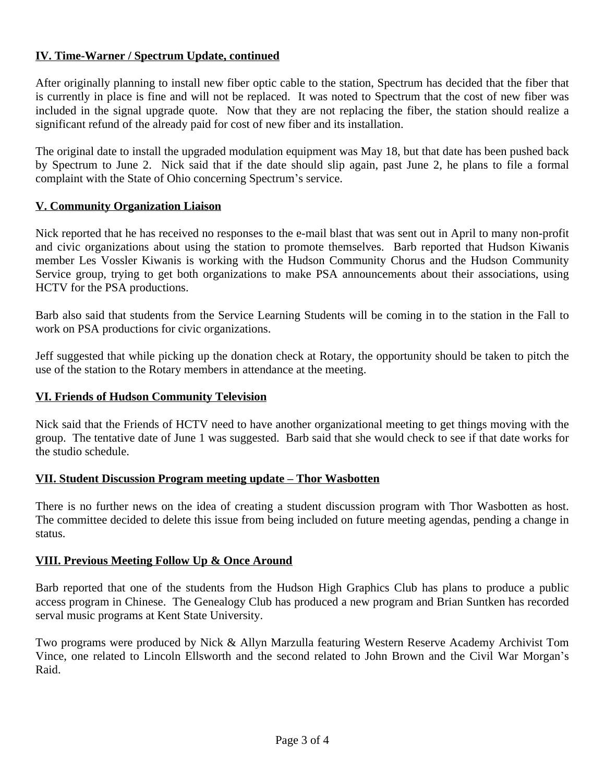## **IV. Time-Warner / Spectrum Update, continued**

After originally planning to install new fiber optic cable to the station, Spectrum has decided that the fiber that is currently in place is fine and will not be replaced. It was noted to Spectrum that the cost of new fiber was included in the signal upgrade quote. Now that they are not replacing the fiber, the station should realize a significant refund of the already paid for cost of new fiber and its installation.

The original date to install the upgraded modulation equipment was May 18, but that date has been pushed back by Spectrum to June 2. Nick said that if the date should slip again, past June 2, he plans to file a formal complaint with the State of Ohio concerning Spectrum's service.

## **V. Community Organization Liaison**

Nick reported that he has received no responses to the e-mail blast that was sent out in April to many non-profit and civic organizations about using the station to promote themselves. Barb reported that Hudson Kiwanis member Les Vossler Kiwanis is working with the Hudson Community Chorus and the Hudson Community Service group, trying to get both organizations to make PSA announcements about their associations, using HCTV for the PSA productions.

Barb also said that students from the Service Learning Students will be coming in to the station in the Fall to work on PSA productions for civic organizations.

Jeff suggested that while picking up the donation check at Rotary, the opportunity should be taken to pitch the use of the station to the Rotary members in attendance at the meeting.

### **VI. Friends of Hudson Community Television**

Nick said that the Friends of HCTV need to have another organizational meeting to get things moving with the group. The tentative date of June 1 was suggested. Barb said that she would check to see if that date works for the studio schedule.

#### **VII. Student Discussion Program meeting update – Thor Wasbotten**

There is no further news on the idea of creating a student discussion program with Thor Wasbotten as host. The committee decided to delete this issue from being included on future meeting agendas, pending a change in status.

#### **VIII. Previous Meeting Follow Up & Once Around**

Barb reported that one of the students from the Hudson High Graphics Club has plans to produce a public access program in Chinese. The Genealogy Club has produced a new program and Brian Suntken has recorded serval music programs at Kent State University.

Two programs were produced by Nick & Allyn Marzulla featuring Western Reserve Academy Archivist Tom Vince, one related to Lincoln Ellsworth and the second related to John Brown and the Civil War Morgan's Raid.